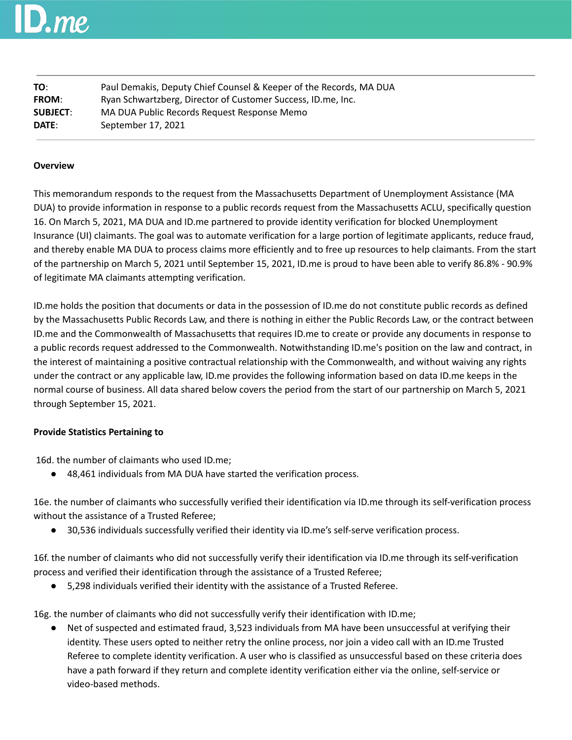## $\bm{l}$ . me

| TO:             | Paul Demakis, Deputy Chief Counsel & Keeper of the Records, MA DUA |  |
|-----------------|--------------------------------------------------------------------|--|
| <b>FROM:</b>    | Ryan Schwartzberg, Director of Customer Success, ID.me, Inc.       |  |
| <b>SUBJECT:</b> | MA DUA Public Records Request Response Memo                        |  |
| DATE:           | September 17, 2021                                                 |  |

## **Overview**

This memorandum responds to the request from the Massachusetts Department of Unemployment Assistance (MA DUA) to provide information in response to a public records request from the Massachusetts ACLU, specifically question 16. On March 5, 2021, MA DUA and ID.me partnered to provide identity verification for blocked Unemployment Insurance (UI) claimants. The goal was to automate verification for a large portion of legitimate applicants, reduce fraud, and thereby enable MA DUA to process claims more efficiently and to free up resources to help claimants. From the start of the partnership on March 5, 2021 until September 15, 2021, ID.me is proud to have been able to verify 86.8% - 90.9% of legitimate MA claimants attempting verification.

ID.me holds the position that documents or data in the possession of ID.me do not constitute public records as defined by the Massachusetts Public Records Law, and there is nothing in either the Public Records Law, or the contract between ID.me and the Commonwealth of Massachusetts that requires ID.me to create or provide any documents in response to a public records request addressed to the Commonwealth. Notwithstanding ID.me's position on the law and contract, in the interest of maintaining a positive contractual relationship with the Commonwealth, and without waiving any rights under the contract or any applicable law, ID.me provides the following information based on data ID.me keeps in the normal course of business. All data shared below covers the period from the start of our partnership on March 5, 2021 through September 15, 2021.

## **Provide Statistics Pertaining to**

16d. the number of claimants who used ID.me;

● 48,461 individuals from MA DUA have started the verification process.

16e. the number of claimants who successfully verified their identification via ID.me through its self-verification process without the assistance of a Trusted Referee;

● 30,536 individuals successfully verified their identity via ID.me's self-serve verification process.

16f. the number of claimants who did not successfully verify their identification via ID.me through its self-verification process and verified their identification through the assistance of a Trusted Referee;

● 5,298 individuals verified their identity with the assistance of a Trusted Referee.

16g. the number of claimants who did not successfully verify their identification with ID.me;

● Net of suspected and estimated fraud, 3,523 individuals from MA have been unsuccessful at verifying their identity. These users opted to neither retry the online process, nor join a video call with an ID.me Trusted Referee to complete identity verification. A user who is classified as unsuccessful based on these criteria does have a path forward if they return and complete identity verification either via the online, self-service or video-based methods.